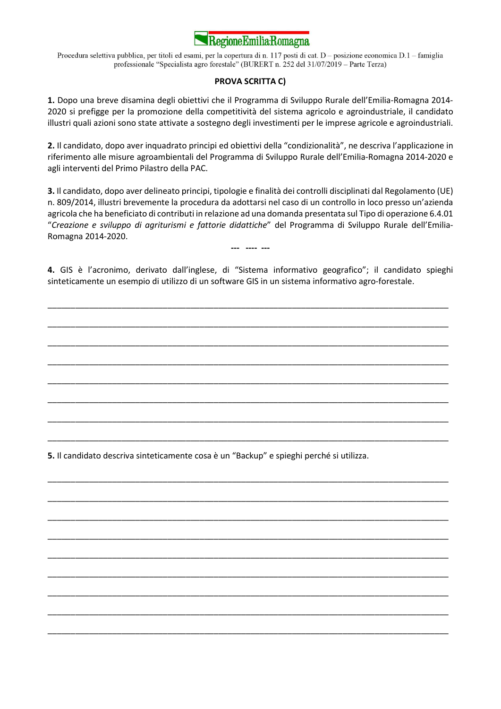

Procedura selettiva pubblica, per titoli ed esami, per la copertura di n. 117 posti di cat. D - posizione economica D.1 - famiglia professionale "Specialista agro forestale" (BURERT n. 252 del 31/07/2019 - Parte Terza)

## PROVA SCRITTA C)

1. Dopo una breve disamina degli obiettivi che il Programma di Sviluppo Rurale dell'Emilia-Romagna 2014- 2020 si prefigge per la promozione della competitività del sistema agricolo e agroindustriale, il candidato illustri quali azioni sono state attivate a sostegno degli investimenti per le imprese agricole e agroindustriali.

2. Il candidato, dopo aver inquadrato principi ed obiettivi della "condizionalità", ne descriva l'applicazione in riferimento alle misure agroambientali del Programma di Sviluppo Rurale dell'Emilia-Romagna 2014-2020 e agli interventi del Primo Pilastro della PAC.

3. Il candidato, dopo aver delineato principi, tipologie e finalità dei controlli disciplinati dal Regolamento (UE) n. 809/2014, illustri brevemente la procedura da adottarsi nel caso di un controllo in loco presso un'azienda agricola che ha beneficiato di contributi in relazione ad una domanda presentata sul Tipo di operazione 6.4.01 "Creazione e sviluppo di agriturismi e fattorie didattiche" del Programma di Sviluppo Rurale dell'Emilia-Romagna 2014-2020.

4. GIS è l'acronimo, derivato dall'inglese, di "Sistema informativo geografico"; il candidato spieghi sinteticamente un esempio di utilizzo di un software GIS in un sistema informativo agro-forestale.

\_\_\_\_\_\_\_\_\_\_\_\_\_\_\_\_\_\_\_\_\_\_\_\_\_\_\_\_\_\_\_\_\_\_\_\_\_\_\_\_\_\_\_\_\_\_\_\_\_\_\_\_\_\_\_\_\_\_\_\_\_\_\_\_\_\_\_\_\_\_\_\_\_\_\_\_\_\_\_\_\_\_\_\_\_\_\_

\_\_\_\_\_\_\_\_\_\_\_\_\_\_\_\_\_\_\_\_\_\_\_\_\_\_\_\_\_\_\_\_\_\_\_\_\_\_\_\_\_\_\_\_\_\_\_\_\_\_\_\_\_\_\_\_\_\_\_\_\_\_\_\_\_\_\_\_\_\_\_\_\_\_\_\_\_\_\_\_\_\_\_\_\_\_\_

\_\_\_\_\_\_\_\_\_\_\_\_\_\_\_\_\_\_\_\_\_\_\_\_\_\_\_\_\_\_\_\_\_\_\_\_\_\_\_\_\_\_\_\_\_\_\_\_\_\_\_\_\_\_\_\_\_\_\_\_\_\_\_\_\_\_\_\_\_\_\_\_\_\_\_\_\_\_\_\_\_\_\_\_\_\_\_

\_\_\_\_\_\_\_\_\_\_\_\_\_\_\_\_\_\_\_\_\_\_\_\_\_\_\_\_\_\_\_\_\_\_\_\_\_\_\_\_\_\_\_\_\_\_\_\_\_\_\_\_\_\_\_\_\_\_\_\_\_\_\_\_\_\_\_\_\_\_\_\_\_\_\_\_\_\_\_\_\_\_\_\_\_\_\_

\_\_\_\_\_\_\_\_\_\_\_\_\_\_\_\_\_\_\_\_\_\_\_\_\_\_\_\_\_\_\_\_\_\_\_\_\_\_\_\_\_\_\_\_\_\_\_\_\_\_\_\_\_\_\_\_\_\_\_\_\_\_\_\_\_\_\_\_\_\_\_\_\_\_\_\_\_\_\_\_\_\_\_\_\_\_\_

\_\_\_\_\_\_\_\_\_\_\_\_\_\_\_\_\_\_\_\_\_\_\_\_\_\_\_\_\_\_\_\_\_\_\_\_\_\_\_\_\_\_\_\_\_\_\_\_\_\_\_\_\_\_\_\_\_\_\_\_\_\_\_\_\_\_\_\_\_\_\_\_\_\_\_\_\_\_\_\_\_\_\_\_\_\_\_

\_\_\_\_\_\_\_\_\_\_\_\_\_\_\_\_\_\_\_\_\_\_\_\_\_\_\_\_\_\_\_\_\_\_\_\_\_\_\_\_\_\_\_\_\_\_\_\_\_\_\_\_\_\_\_\_\_\_\_\_\_\_\_\_\_\_\_\_\_\_\_\_\_\_\_\_\_\_\_\_\_\_\_\_\_\_\_

\_\_\_\_\_\_\_\_\_\_\_\_\_\_\_\_\_\_\_\_\_\_\_\_\_\_\_\_\_\_\_\_\_\_\_\_\_\_\_\_\_\_\_\_\_\_\_\_\_\_\_\_\_\_\_\_\_\_\_\_\_\_\_\_\_\_\_\_\_\_\_\_\_\_\_\_\_\_\_\_\_\_\_\_\_\_\_

\_\_\_\_\_\_\_\_\_\_\_\_\_\_\_\_\_\_\_\_\_\_\_\_\_\_\_\_\_\_\_\_\_\_\_\_\_\_\_\_\_\_\_\_\_\_\_\_\_\_\_\_\_\_\_\_\_\_\_\_\_\_\_\_\_\_\_\_\_\_\_\_\_\_\_\_\_\_\_\_\_\_\_\_\_\_\_

\_\_\_\_\_\_\_\_\_\_\_\_\_\_\_\_\_\_\_\_\_\_\_\_\_\_\_\_\_\_\_\_\_\_\_\_\_\_\_\_\_\_\_\_\_\_\_\_\_\_\_\_\_\_\_\_\_\_\_\_\_\_\_\_\_\_\_\_\_\_\_\_\_\_\_\_\_\_\_\_\_\_\_\_\_\_\_

\_\_\_\_\_\_\_\_\_\_\_\_\_\_\_\_\_\_\_\_\_\_\_\_\_\_\_\_\_\_\_\_\_\_\_\_\_\_\_\_\_\_\_\_\_\_\_\_\_\_\_\_\_\_\_\_\_\_\_\_\_\_\_\_\_\_\_\_\_\_\_\_\_\_\_\_\_\_\_\_\_\_\_\_\_\_\_

\_\_\_\_\_\_\_\_\_\_\_\_\_\_\_\_\_\_\_\_\_\_\_\_\_\_\_\_\_\_\_\_\_\_\_\_\_\_\_\_\_\_\_\_\_\_\_\_\_\_\_\_\_\_\_\_\_\_\_\_\_\_\_\_\_\_\_\_\_\_\_\_\_\_\_\_\_\_\_\_\_\_\_\_\_\_\_

\_\_\_\_\_\_\_\_\_\_\_\_\_\_\_\_\_\_\_\_\_\_\_\_\_\_\_\_\_\_\_\_\_\_\_\_\_\_\_\_\_\_\_\_\_\_\_\_\_\_\_\_\_\_\_\_\_\_\_\_\_\_\_\_\_\_\_\_\_\_\_\_\_\_\_\_\_\_\_\_\_\_\_\_\_\_\_

\_\_\_\_\_\_\_\_\_\_\_\_\_\_\_\_\_\_\_\_\_\_\_\_\_\_\_\_\_\_\_\_\_\_\_\_\_\_\_\_\_\_\_\_\_\_\_\_\_\_\_\_\_\_\_\_\_\_\_\_\_\_\_\_\_\_\_\_\_\_\_\_\_\_\_\_\_\_\_\_\_\_\_\_\_\_\_

\_\_\_\_\_\_\_\_\_\_\_\_\_\_\_\_\_\_\_\_\_\_\_\_\_\_\_\_\_\_\_\_\_\_\_\_\_\_\_\_\_\_\_\_\_\_\_\_\_\_\_\_\_\_\_\_\_\_\_\_\_\_\_\_\_\_\_\_\_\_\_\_\_\_\_\_\_\_\_\_\_\_\_\_\_\_\_

\_\_\_\_\_\_\_\_\_\_\_\_\_\_\_\_\_\_\_\_\_\_\_\_\_\_\_\_\_\_\_\_\_\_\_\_\_\_\_\_\_\_\_\_\_\_\_\_\_\_\_\_\_\_\_\_\_\_\_\_\_\_\_\_\_\_\_\_\_\_\_\_\_\_\_\_\_\_\_\_\_\_\_\_\_\_\_

\_\_\_\_\_\_\_\_\_\_\_\_\_\_\_\_\_\_\_\_\_\_\_\_\_\_\_\_\_\_\_\_\_\_\_\_\_\_\_\_\_\_\_\_\_\_\_\_\_\_\_\_\_\_\_\_\_\_\_\_\_\_\_\_\_\_\_\_\_\_\_\_\_\_\_\_\_\_\_\_\_\_\_\_\_\_\_

--- ---- ---

5. Il candidato descriva sinteticamente cosa è un "Backup" e spieghi perché si utilizza.